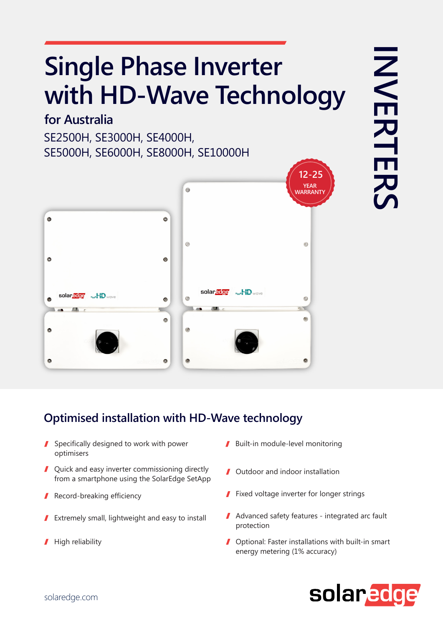# **Single Phase Inverter with HD-Wave Technology**

#### **for Australia**

SE2500H, SE3000H, SE4000H, SE5000H, SE6000H, SE8000H, SE10000H



### **Optimised installation with HD-Wave technology**

- Specifically designed to work with power optimisers
- Quick and easy inverter commissioning directly from a smartphone using the SolarEdge SetApp
- Record-breaking efficiency
- Extremely small, lightweight and easy to install I
- High reliability I
- Built-in module-level monitoring
- Outdoor and indoor installation
- **Fixed voltage inverter for longer strings**
- Advanced safety features integrated arc fault protection
- Optional: Faster installations with built-in smart energy metering (1% accuracy)

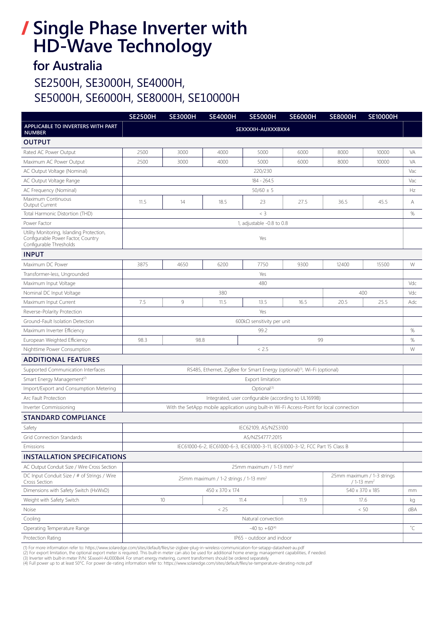### **Single Phase Inverter with HD-Wave Technology**

### **for Australia**

### SE2500H, SE3000H, SE4000H, SE5000H, SE6000H, SE8000H, SE10000H

|                                                                                                            | <b>SE2500H</b>                                                                                             | <b>SE3000H</b>  | <b>SE4000H</b> | <b>SE5000H</b> | <b>SE6000H</b> | <b>SE8000H</b> | <b>SE10000H</b> |              |
|------------------------------------------------------------------------------------------------------------|------------------------------------------------------------------------------------------------------------|-----------------|----------------|----------------|----------------|----------------|-----------------|--------------|
| APPLICABLE TO INVERTERS WITH PART<br><b>NUMBER</b>                                                         | SEXXXXH-AUXXXBXX4                                                                                          |                 |                |                |                |                |                 |              |
| <b>OUTPUT</b>                                                                                              |                                                                                                            |                 |                |                |                |                |                 |              |
| Rated AC Power Output                                                                                      | 2500                                                                                                       | 3000            | 4000           | 5000           | 6000           | 8000           | 10000           | VA           |
| Maximum AC Power Output                                                                                    | 2500                                                                                                       | 3000            | 4000           | 5000           | 6000           | 8000           | 10000           | VA           |
| AC Output Voltage (Nominal)                                                                                | 220/230                                                                                                    |                 |                |                |                |                |                 | Vac          |
| AC Output Voltage Range                                                                                    | 184 - 264.5                                                                                                |                 |                |                |                |                |                 | Vac          |
| AC Frequency (Nominal)                                                                                     | $50/60 \pm 5$                                                                                              |                 |                |                |                |                |                 | Hz           |
| Maximum Continuous<br>Output Current                                                                       | 11.5                                                                                                       | 14              | 18.5           | 23             | 27.5           | 36.5           | 45.5            | Α            |
| Total Harmonic Distortion (THD)                                                                            | $<$ 3                                                                                                      |                 |                |                |                |                |                 | $\%$         |
| Power Factor                                                                                               | 1, adjustable -0.8 to 0.8                                                                                  |                 |                |                |                |                |                 |              |
| Utility Monitoring, Islanding Protection,<br>Configurable Power Factor, Country<br>Configurable Thresholds | Yes                                                                                                        |                 |                |                |                |                |                 |              |
| <b>INPUT</b>                                                                                               |                                                                                                            |                 |                |                |                |                |                 |              |
| Maximum DC Power                                                                                           | 3875                                                                                                       | 4650            | 6200           | 7750           | 9300           | 12400          | 15500           | W            |
| Transformer-less, Ungrounded                                                                               | Yes                                                                                                        |                 |                |                |                |                |                 |              |
| Maximum Input Voltage                                                                                      | 480                                                                                                        |                 |                |                |                |                |                 | Vdc          |
| Nominal DC Input Voltage                                                                                   | 400<br>380                                                                                                 |                 |                |                |                |                |                 | Vdc          |
| Maximum Input Current                                                                                      | 7.5                                                                                                        | 9               | 11.5           | 13.5           | 16.5           | 20.5           | 25.5            | Adc          |
| Reverse-Polarity Protection                                                                                | Yes                                                                                                        |                 |                |                |                |                |                 |              |
| Ground-Fault Isolation Detection                                                                           | 600k $\Omega$ sensitivity per unit                                                                         |                 |                |                |                |                |                 |              |
| Maximum Inverter Efficiency                                                                                | 99.2                                                                                                       |                 |                |                |                |                |                 | $\%$         |
| European Weighted Efficiency                                                                               | 98.3<br>98.8<br>99                                                                                         |                 |                |                |                |                | $\%$            |              |
| Nighttime Power Consumption                                                                                | < 2.5                                                                                                      |                 |                |                |                |                |                 | W            |
| <b>ADDITIONAL FEATURES</b>                                                                                 |                                                                                                            |                 |                |                |                |                |                 |              |
| Supported Communication Interfaces                                                                         | RS485, Ethernet, ZigBee for Smart Energy (optional) <sup>(1)</sup> , Wi-Fi (optional)                      |                 |                |                |                |                |                 |              |
| Smart Energy Management <sup>(2)</sup>                                                                     | Export limitation                                                                                          |                 |                |                |                |                |                 |              |
| Import/Export and Consumption Metering                                                                     | Optional <sup>(3)</sup>                                                                                    |                 |                |                |                |                |                 |              |
| Arc Fault Protection                                                                                       | Integrated, user configurable (according to UL1699B)                                                       |                 |                |                |                |                |                 |              |
| Inverter Commissioning                                                                                     | With the SetApp mobile application using built-in Wi-Fi Access-Point for local connection                  |                 |                |                |                |                |                 |              |
| <b>STANDARD COMPLIANCE</b>                                                                                 |                                                                                                            |                 |                |                |                |                |                 |              |
| Safety                                                                                                     | IEC62109, AS/NZS3100                                                                                       |                 |                |                |                |                |                 |              |
| <b>Grid Connection Standards</b>                                                                           | AS/NZS4777:2015                                                                                            |                 |                |                |                |                |                 |              |
| Emissions                                                                                                  | IEC61000-6-2, IEC61000-6-3, IEC61000-3-11, IEC61000-3-12, FCC Part 15 Class B                              |                 |                |                |                |                |                 |              |
| <b>INSTALLATION SPECIFICATIONS</b>                                                                         |                                                                                                            |                 |                |                |                |                |                 |              |
| AC Output Conduit Size / Wire Cross Section                                                                | 25mm maximum / 1-13 mm <sup>2</sup>                                                                        |                 |                |                |                |                |                 |              |
| DC Input Conduit Size / # of Strings / Wire<br>Cross Section                                               | 25mm maximum / 1-3 strings<br>25mm maximum / 1-2 strings / 1-13 mm <sup>2</sup><br>$/1-13$ mm <sup>2</sup> |                 |                |                |                |                |                 |              |
| Dimensions with Safety Switch (HxWxD)                                                                      | 450 x 370 x 174<br>540 x 370 x 185                                                                         |                 |                |                |                |                |                 | mm           |
| Weight with Safety Switch                                                                                  |                                                                                                            | 10 <sup>1</sup> |                | 11.4           | 11.9           |                | 17.6            | kg           |
| Noise                                                                                                      | < 25<br>< 50                                                                                               |                 |                |                |                |                |                 | dBA          |
| Cooling                                                                                                    | Natural convection                                                                                         |                 |                |                |                |                |                 |              |
| Operating Temperature Range                                                                                | $-40$ to $+60^{(4)}$                                                                                       |                 |                |                |                |                |                 | $^{\circ}$ C |
| Protection Rating                                                                                          | IP65 - outdoor and indoor                                                                                  |                 |                |                |                |                |                 |              |

(1) For more information refer to: https://www.solaredge.com/sites/default/files/se-zigbee-plug-in-wireless-communication-for-setapp-datasheet-au.pdf<br>(2) For export limitation, the optional export meter is required. This b